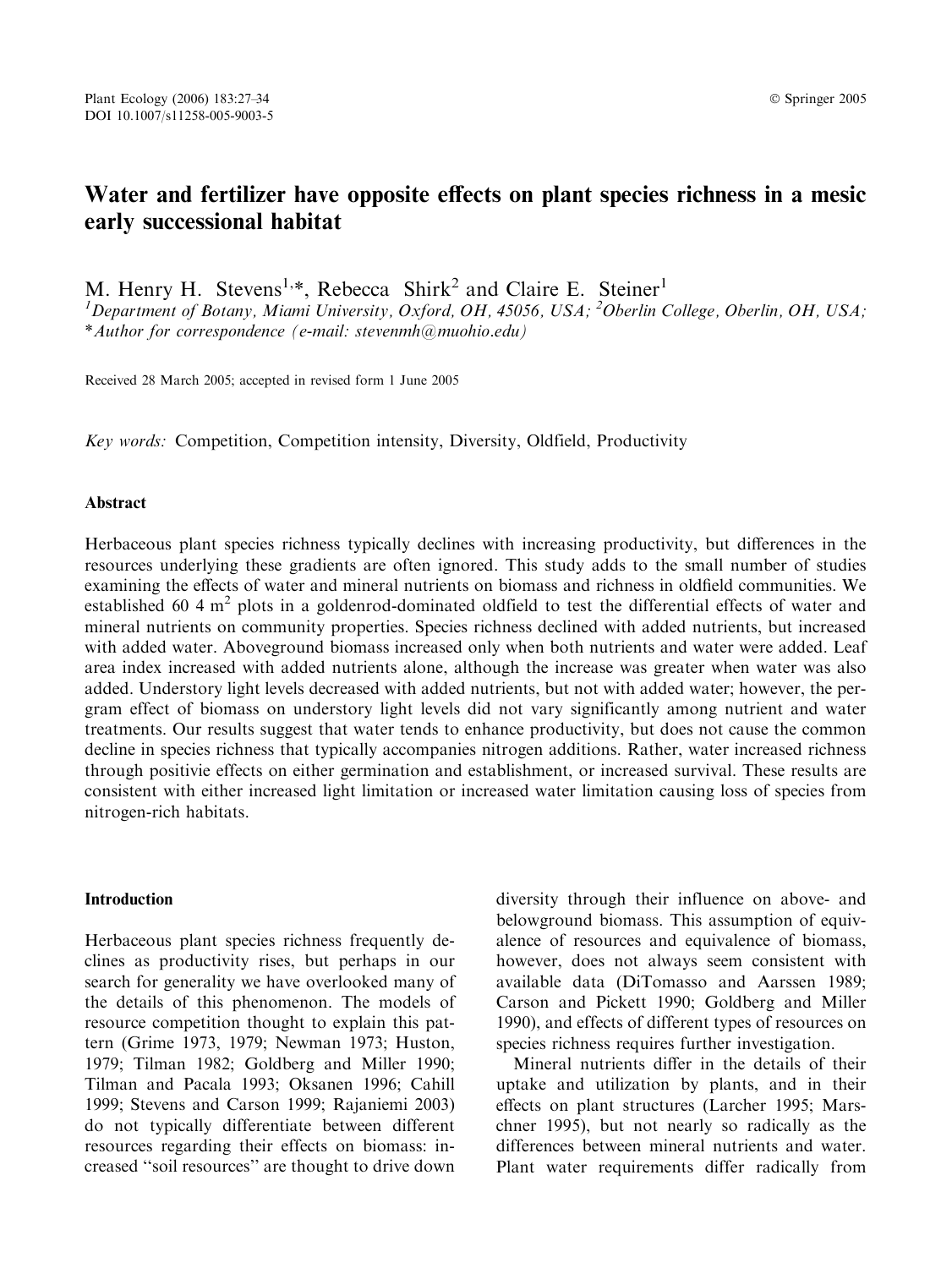# Water and fertilizer have opposite effects on plant species richness in a mesic early successional habitat

M. Henry H. Stevens<sup>1,\*</sup>, Rebecca Shirk<sup>2</sup> and Claire E. Steiner<sup>1</sup>

<sup>1</sup>Department of Botany, Miami University, Oxford, OH, 45056, USA; <sup>2</sup>Oberlin College, Oberlin, OH, USA; \*Author for correspondence (e-mail: stevenmh@muohio.edu)

Received 28 March 2005; accepted in revised form 1 June 2005

Key words: Competition, Competition intensity, Diversity, Oldfield, Productivity

### Abstract

Herbaceous plant species richness typically declines with increasing productivity, but differences in the resources underlying these gradients are often ignored. This study adds to the small number of studies examining the effects of water and mineral nutrients on biomass and richness in oldfield communities. We established 60 4  $\text{m}^2$  plots in a goldenrod-dominated oldfield to test the differential effects of water and mineral nutrients on community properties. Species richness declined with added nutrients, but increased with added water. Aboveground biomass increased only when both nutrients and water were added. Leaf area index increased with added nutrients alone, although the increase was greater when water was also added. Understory light levels decreased with added nutrients, but not with added water; however, the pergram effect of biomass on understory light levels did not vary significantly among nutrient and water treatments. Our results suggest that water tends to enhance productivity, but does not cause the common decline in species richness that typically accompanies nitrogen additions. Rather, water increased richness through positivie effects on either germination and establishment, or increased survival. These results are consistent with either increased light limitation or increased water limitation causing loss of species from nitrogen-rich habitats.

### Introduction

Herbaceous plant species richness frequently declines as productivity rises, but perhaps in our search for generality we have overlooked many of the details of this phenomenon. The models of resource competition thought to explain this pattern (Grime 1973, 1979; Newman 1973; Huston, 1979; Tilman 1982; Goldberg and Miller 1990; Tilman and Pacala 1993; Oksanen 1996; Cahill 1999; Stevens and Carson 1999; Rajaniemi 2003) do not typically differentiate between different resources regarding their effects on biomass: increased ''soil resources'' are thought to drive down

diversity through their influence on above- and belowground biomass. This assumption of equivalence of resources and equivalence of biomass, however, does not always seem consistent with available data (DiTomasso and Aarssen 1989; Carson and Pickett 1990; Goldberg and Miller 1990), and effects of different types of resources on species richness requires further investigation.

Mineral nutrients differ in the details of their uptake and utilization by plants, and in their effects on plant structures (Larcher 1995; Marschner 1995), but not nearly so radically as the differences between mineral nutrients and water. Plant water requirements differ radically from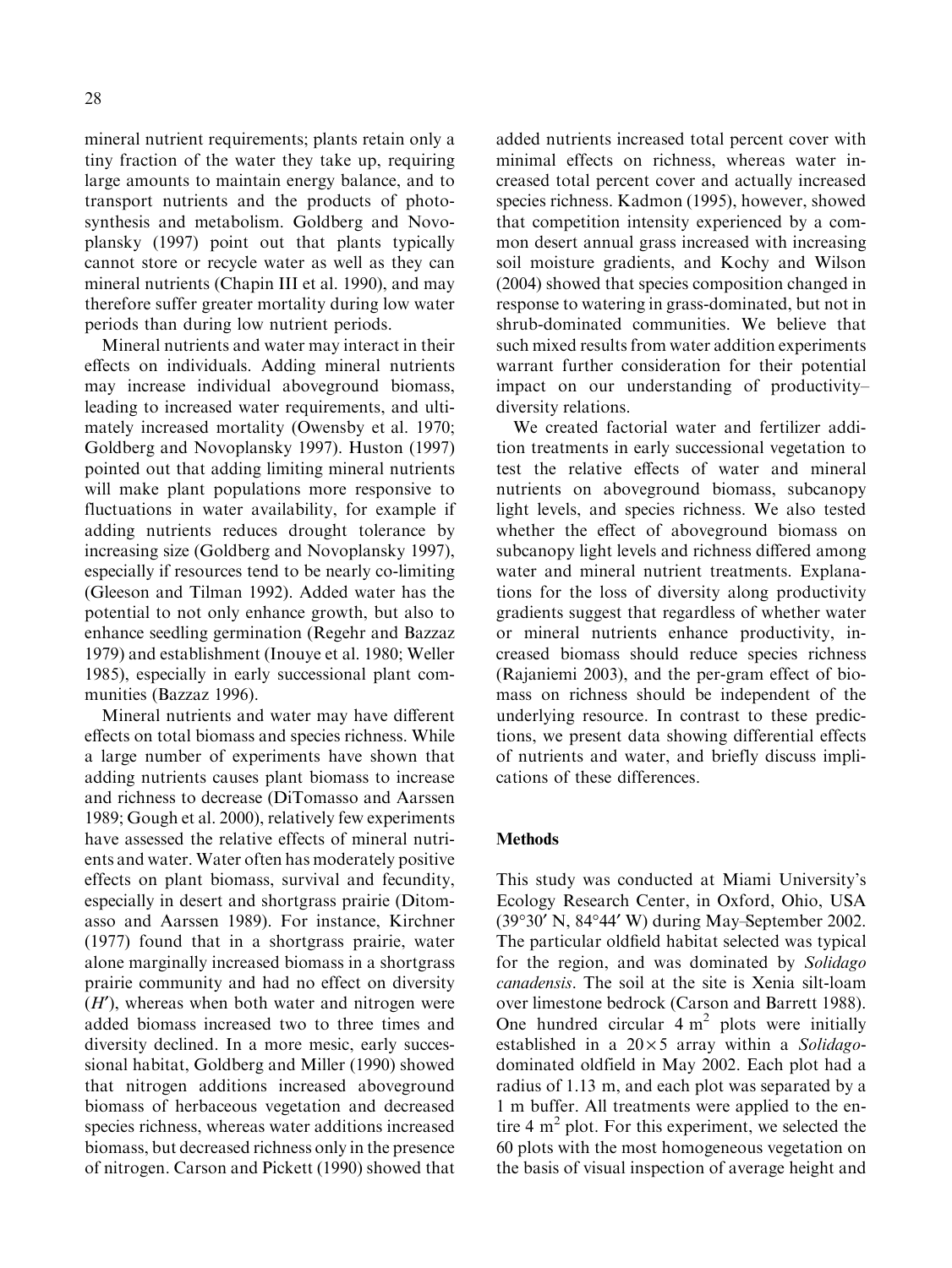mineral nutrient requirements; plants retain only a tiny fraction of the water they take up, requiring large amounts to maintain energy balance, and to transport nutrients and the products of photosynthesis and metabolism. Goldberg and Novoplansky (1997) point out that plants typically cannot store or recycle water as well as they can mineral nutrients (Chapin III et al. 1990), and may therefore suffer greater mortality during low water periods than during low nutrient periods.

Mineral nutrients and water may interact in their effects on individuals. Adding mineral nutrients may increase individual aboveground biomass, leading to increased water requirements, and ultimately increased mortality (Owensby et al. 1970; Goldberg and Novoplansky 1997). Huston (1997) pointed out that adding limiting mineral nutrients will make plant populations more responsive to fluctuations in water availability, for example if adding nutrients reduces drought tolerance by increasing size (Goldberg and Novoplansky 1997), especially if resources tend to be nearly co-limiting (Gleeson and Tilman 1992). Added water has the potential to not only enhance growth, but also to enhance seedling germination (Regehr and Bazzaz 1979) and establishment (Inouye et al. 1980; Weller 1985), especially in early successional plant communities (Bazzaz 1996).

Mineral nutrients and water may have different effects on total biomass and species richness. While a large number of experiments have shown that adding nutrients causes plant biomass to increase and richness to decrease (DiTomasso and Aarssen 1989; Gough et al. 2000), relatively few experiments have assessed the relative effects of mineral nutrients and water. Water often has moderately positive effects on plant biomass, survival and fecundity, especially in desert and shortgrass prairie (Ditomasso and Aarssen 1989). For instance, Kirchner (1977) found that in a shortgrass prairie, water alone marginally increased biomass in a shortgrass prairie community and had no effect on diversity  $(H')$ , whereas when both water and nitrogen were added biomass increased two to three times and diversity declined. In a more mesic, early successional habitat, Goldberg and Miller (1990) showed that nitrogen additions increased aboveground biomass of herbaceous vegetation and decreased species richness, whereas water additions increased biomass, but decreased richness only in the presence of nitrogen. Carson and Pickett (1990) showed that added nutrients increased total percent cover with minimal effects on richness, whereas water increased total percent cover and actually increased species richness. Kadmon (1995), however, showed that competition intensity experienced by a common desert annual grass increased with increasing soil moisture gradients, and Kochy and Wilson (2004) showed that species composition changed in response to watering in grass-dominated, but not in shrub-dominated communities. We believe that such mixed results from water addition experiments warrant further consideration for their potential impact on our understanding of productivity– diversity relations.

We created factorial water and fertilizer addition treatments in early successional vegetation to test the relative effects of water and mineral nutrients on aboveground biomass, subcanopy light levels, and species richness. We also tested whether the effect of aboveground biomass on subcanopy light levels and richness differed among water and mineral nutrient treatments. Explanations for the loss of diversity along productivity gradients suggest that regardless of whether water or mineral nutrients enhance productivity, increased biomass should reduce species richness (Rajaniemi 2003), and the per-gram effect of biomass on richness should be independent of the underlying resource. In contrast to these predictions, we present data showing differential effects of nutrients and water, and briefly discuss implications of these differences.

# Methods

This study was conducted at Miami University's Ecology Research Center, in Oxford, Ohio, USA (39°30′ N, 84°44′ W) during May–September 2002. The particular oldfield habitat selected was typical for the region, and was dominated by Solidago canadensis. The soil at the site is Xenia silt-loam over limestone bedrock (Carson and Barrett 1988). One hundred circular  $4 \text{ m}^2$  plots were initially established in a  $20 \times 5$  array within a Solidagodominated oldfield in May 2002. Each plot had a radius of 1.13 m, and each plot was separated by a 1 m buffer. All treatments were applied to the entire  $4 \text{ m}^2$  plot. For this experiment, we selected the 60 plots with the most homogeneous vegetation on the basis of visual inspection of average height and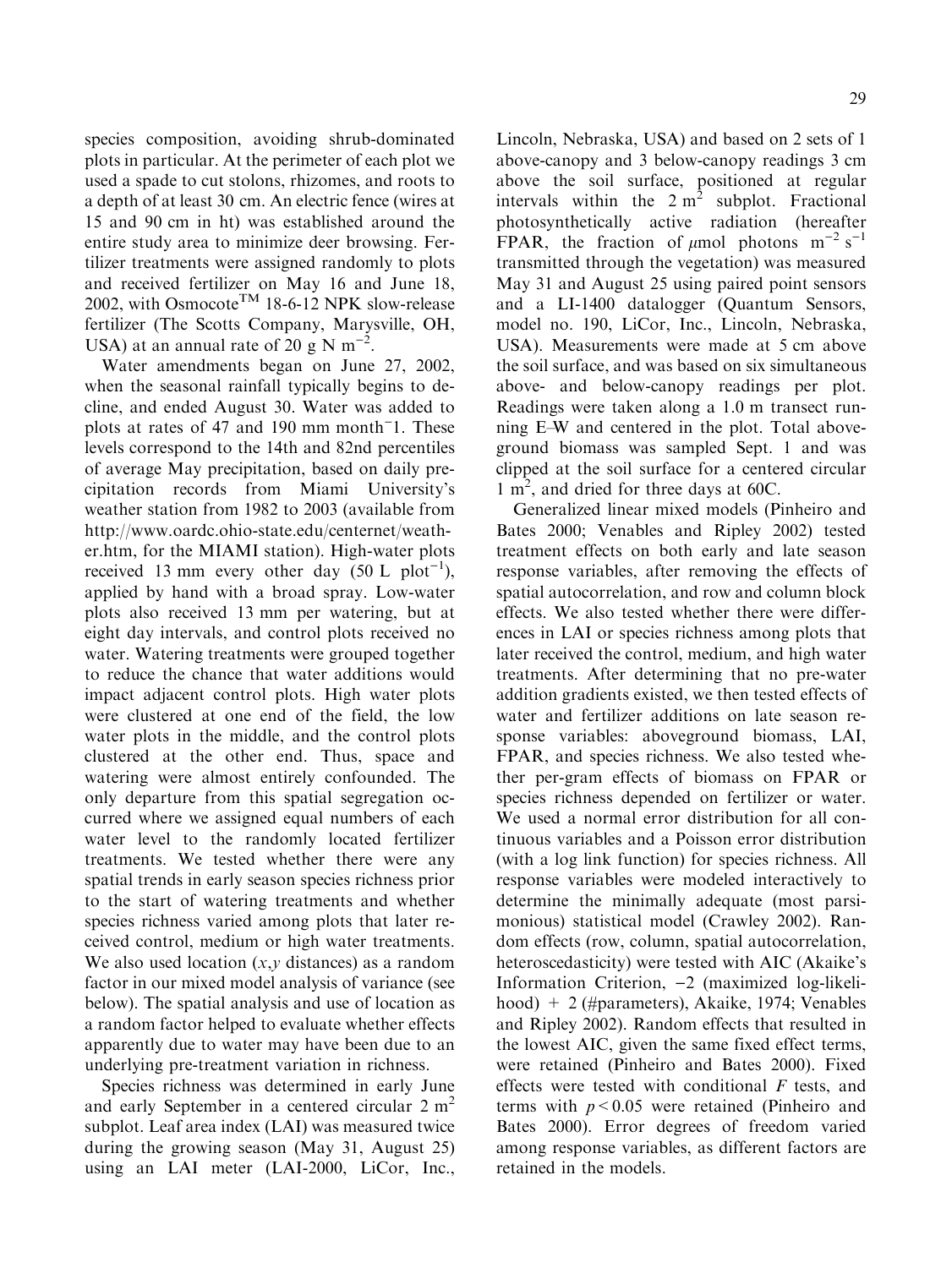species composition, avoiding shrub-dominated plots in particular. At the perimeter of each plot we used a spade to cut stolons, rhizomes, and roots to a depth of at least 30 cm. An electric fence (wires at 15 and 90 cm in ht) was established around the entire study area to minimize deer browsing. Fertilizer treatments were assigned randomly to plots and received fertilizer on May 16 and June 18, 2002, with Osmocote<sup>TM</sup> 18-6-12 NPK slow-release fertilizer (The Scotts Company, Marysville, OH, USA) at an annual rate of 20 g N  $m^{-2}$ .

Water amendments began on June 27, 2002, when the seasonal rainfall typically begins to decline, and ended August 30. Water was added to plots at rates of 47 and 190 mm month<sup>-1</sup>. These levels correspond to the 14th and 82nd percentiles of average May precipitation, based on daily precipitation records from Miami University's weather station from 1982 to 2003 (available from http://www.oardc.ohio-state.edu/centernet/weather.htm, for the MIAMI station). High-water plots received 13 mm every other day  $(50 \text{ L } \text{plot}^{-1}),$ applied by hand with a broad spray. Low-water plots also received 13 mm per watering, but at eight day intervals, and control plots received no water. Watering treatments were grouped together to reduce the chance that water additions would impact adjacent control plots. High water plots were clustered at one end of the field, the low water plots in the middle, and the control plots clustered at the other end. Thus, space and watering were almost entirely confounded. The only departure from this spatial segregation occurred where we assigned equal numbers of each water level to the randomly located fertilizer treatments. We tested whether there were any spatial trends in early season species richness prior to the start of watering treatments and whether species richness varied among plots that later received control, medium or high water treatments. We also used location  $(x, y)$  distances) as a random factor in our mixed model analysis of variance (see below). The spatial analysis and use of location as a random factor helped to evaluate whether effects apparently due to water may have been due to an underlying pre-treatment variation in richness.

Species richness was determined in early June and early September in a centered circular  $2 m<sup>2</sup>$ subplot. Leaf area index (LAI) was measured twice during the growing season (May 31, August 25) using an LAI meter (LAI-2000, LiCor, Inc., Lincoln, Nebraska, USA) and based on 2 sets of 1 above-canopy and 3 below-canopy readings 3 cm above the soil surface, positioned at regular intervals within the  $2 m<sup>2</sup>$  subplot. Fractional photosynthetically active radiation (hereafter FPAR, the fraction of  $\mu$ mol photons m<sup>-2</sup> s<sup>-1</sup> transmitted through the vegetation) was measured May 31 and August 25 using paired point sensors and a LI-1400 datalogger (Quantum Sensors, model no. 190, LiCor, Inc., Lincoln, Nebraska, USA). Measurements were made at 5 cm above the soil surface, and was based on six simultaneous above- and below-canopy readings per plot. Readings were taken along a 1.0 m transect running E–W and centered in the plot. Total aboveground biomass was sampled Sept. 1 and was clipped at the soil surface for a centered circular 1 m2 , and dried for three days at 60C.

Generalized linear mixed models (Pinheiro and Bates 2000; Venables and Ripley 2002) tested treatment effects on both early and late season response variables, after removing the effects of spatial autocorrelation, and row and column block effects. We also tested whether there were differences in LAI or species richness among plots that later received the control, medium, and high water treatments. After determining that no pre-water addition gradients existed, we then tested effects of water and fertilizer additions on late season response variables: aboveground biomass, LAI, FPAR, and species richness. We also tested whether per-gram effects of biomass on FPAR or species richness depended on fertilizer or water. We used a normal error distribution for all continuous variables and a Poisson error distribution (with a log link function) for species richness. All response variables were modeled interactively to determine the minimally adequate (most parsimonious) statistical model (Crawley 2002). Random effects (row, column, spatial autocorrelation, heteroscedasticity) were tested with AIC (Akaike's Information Criterion,  $-2$  (maximized log-likelihood) + 2 (#parameters), Akaike, 1974; Venables and Ripley 2002). Random effects that resulted in the lowest AIC, given the same fixed effect terms, were retained (Pinheiro and Bates 2000). Fixed effects were tested with conditional  $F$  tests, and terms with  $p < 0.05$  were retained (Pinheiro and Bates 2000). Error degrees of freedom varied among response variables, as different factors are retained in the models.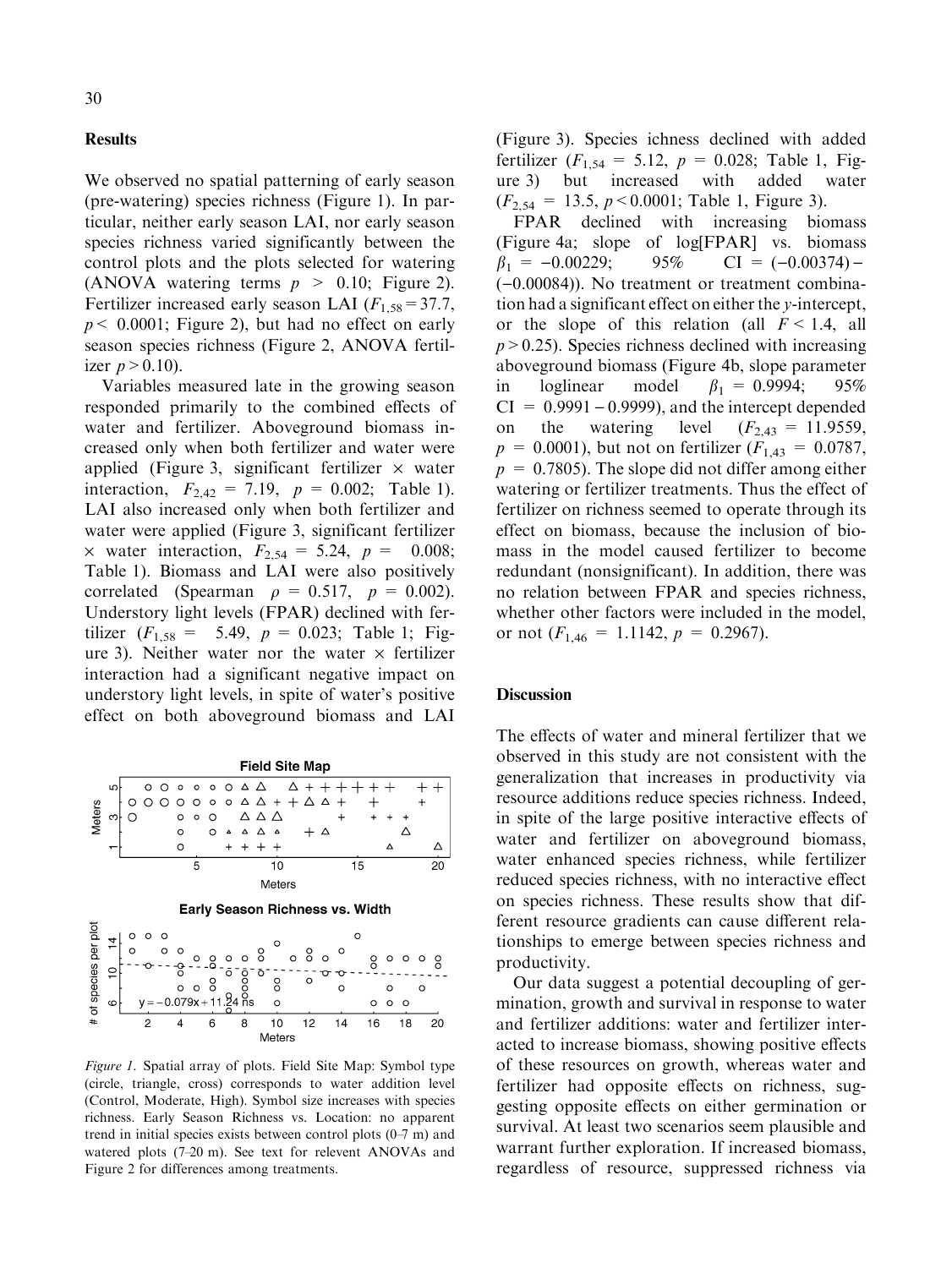## Results

We observed no spatial patterning of early season (pre-watering) species richness (Figure 1). In particular, neither early season LAI, nor early season species richness varied significantly between the control plots and the plots selected for watering (ANOVA watering terms  $p > 0.10$ ; Figure 2). Fertilizer increased early season LAI ( $F_{1,58}$ =37.7,  $p < 0.0001$ ; Figure 2), but had no effect on early season species richness (Figure 2, ANOVA fertilizer  $p > 0.10$ ).

Variables measured late in the growing season responded primarily to the combined effects of water and fertilizer. Aboveground biomass increased only when both fertilizer and water were applied (Figure 3, significant fertilizer  $\times$  water interaction,  $F_{2,42} = 7.19$ ,  $p = 0.002$ ; Table 1). LAI also increased only when both fertilizer and water were applied (Figure 3, significant fertilizer  $\times$  water interaction,  $F_{2,54} = 5.24, p = 0.008;$ Table 1). Biomass and LAI were also positively correlated (Spearman  $\rho = 0.517$ ,  $p = 0.002$ ). Understory light levels (FPAR) declined with fertilizer  $(F_{1.58} = 5.49, p = 0.023;$  Table 1; Figure 3). Neither water nor the water  $\times$  fertilizer interaction had a significant negative impact on understory light levels, in spite of water's positive effect on both aboveground biomass and LAI



Figure 1. Spatial array of plots. Field Site Map: Symbol type (circle, triangle, cross) corresponds to water addition level (Control, Moderate, High). Symbol size increases with species richness. Early Season Richness vs. Location: no apparent trend in initial species exists between control plots (0–7 m) and watered plots (7–20 m). See text for relevent ANOVAs and Figure 2 for differences among treatments.

(Figure 3). Species ichness declined with added fertilizer ( $F_{1,54} = 5.12$ ,  $p = 0.028$ ; Table 1, Figure 3) but increased with added water  $(F_{2.54} = 13.5, p < 0.0001;$  Table 1, Figure 3).

FPAR declined with increasing biomass (Figure 4a; slope of log[FPAR] vs. biomass  $\beta_1 = -0.00229;$  95% CI =  $(-0.00374)$  –  $(-0.00084)$ ). No treatment or treatment combination had a significant effect on either the y-intercept, or the slope of this relation (all  $F < 1.4$ , all  $p > 0.25$ ). Species richness declined with increasing aboveground biomass (Figure 4b, slope parameter in loglinear model  $\beta_1 = 0.9994$ ; 95% CI = 0.9991 – 0.9999), and the intercept depended<br>on the watering level  $(F_{2,43} = 11.9559)$ , on the watering level  $(F_{2,43} = 11.9559)$ ,  $p = 0.0001$ , but not on fertilizer ( $F_{1,43} = 0.0787$ ,  $p = 0.7805$ . The slope did not differ among either watering or fertilizer treatments. Thus the effect of fertilizer on richness seemed to operate through its effect on biomass, because the inclusion of biomass in the model caused fertilizer to become redundant (nonsignificant). In addition, there was no relation between FPAR and species richness, whether other factors were included in the model, or not  $(F_{1,46} = 1.1142, p = 0.2967)$ .

# **Discussion**

The effects of water and mineral fertilizer that we observed in this study are not consistent with the generalization that increases in productivity via resource additions reduce species richness. Indeed, in spite of the large positive interactive effects of water and fertilizer on aboveground biomass, water enhanced species richness, while fertilizer reduced species richness, with no interactive effect on species richness. These results show that different resource gradients can cause different relationships to emerge between species richness and productivity.

Our data suggest a potential decoupling of germination, growth and survival in response to water and fertilizer additions: water and fertilizer interacted to increase biomass, showing positive effects of these resources on growth, whereas water and fertilizer had opposite effects on richness, suggesting opposite effects on either germination or survival. At least two scenarios seem plausible and warrant further exploration. If increased biomass, regardless of resource, suppressed richness via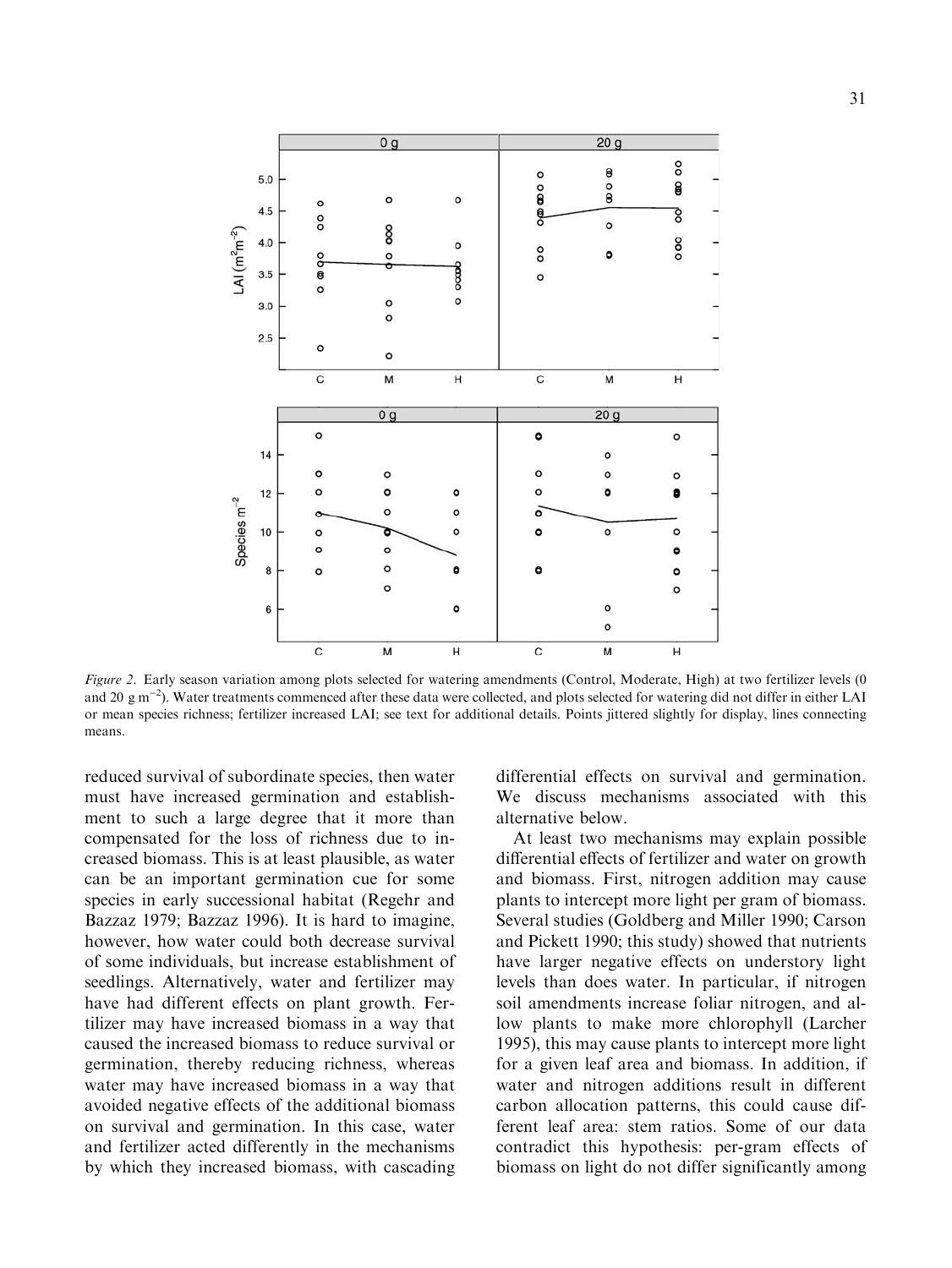

Figure 2. Early season variation among plots selected for watering amendments (Control, Moderate, High) at two fertilizer levels (0 and 20 g m<sup>-2</sup>). Water treatments commenced after these data were collected, and plots selected for watering did not differ in either LAI or mean species richness; fertilizer increased LAI; see text for additional details. Points jittered slightly for display, lines connecting means.

reduced survival of subordinate species, then water must have increased germination and establishment to such a large degree that it more than compensated for the loss of richness due to increased biomass. This is at least plausible, as water can be an important germination cue for some species in early successional habitat (Regehr and Bazzaz 1979; Bazzaz 1996). It is hard to imagine, however, how water could both decrease survival of some individuals, but increase establishment of seedlings. Alternatively, water and fertilizer may have had different effects on plant growth. Fertilizer may have increased biomass in a way that caused the increased biomass to reduce survival or germination, thereby reducing richness, whereas water may have increased biomass in a way that avoided negative effects of the additional biomass on survival and germination. In this case, water and fertilizer acted differently in the mechanisms by which they increased biomass, with cascading differential effects on survival and germination. We discuss mechanisms associated with this alternative below.

At least two mechanisms may explain possible differential effects of fertilizer and water on growth and biomass. First, nitrogen addition may cause plants to intercept more light per gram of biomass. Several studies (Goldberg and Miller 1990; Carson and Pickett 1990; this study) showed that nutrients have larger negative effects on understory light levels than does water. In particular, if nitrogen soil amendments increase foliar nitrogen, and allow plants to make more chlorophyll (Larcher 1995), this may cause plants to intercept more light for a given leaf area and biomass. In addition, if water and nitrogen additions result in different carbon allocation patterns, this could cause different leaf area: stem ratios. Some of our data contradict this hypothesis: per-gram effects of biomass on light do not differ significantly among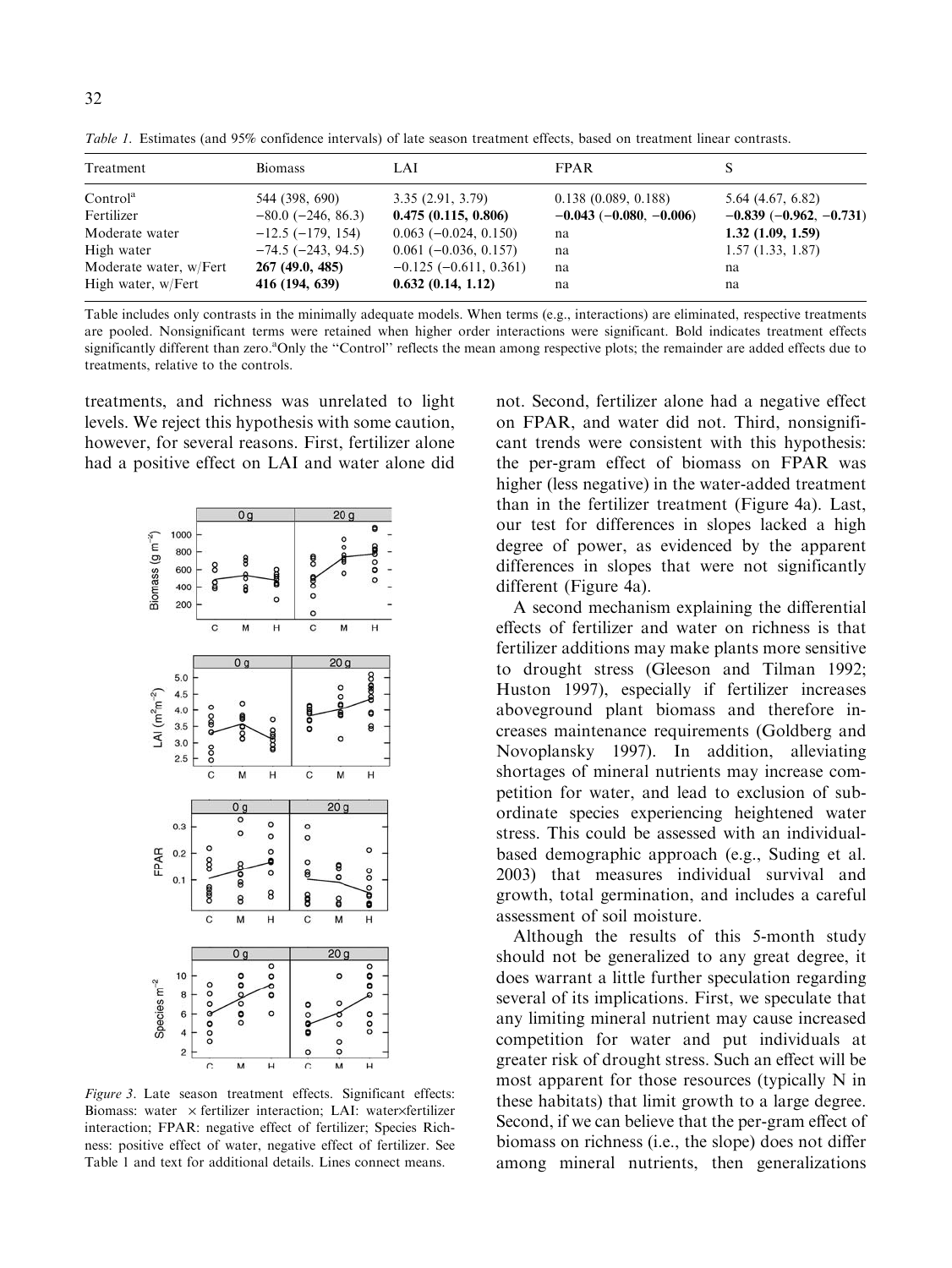| Treatment              | <b>Biomass</b>           | LAI                     | <b>FPAR</b>                   |                          |
|------------------------|--------------------------|-------------------------|-------------------------------|--------------------------|
| Control <sup>a</sup>   | 544 (398, 690)           | 3.35(2.91, 3.79)        | 0.138(0.089, 0.188)           | 5.64(4.67, 6.82)         |
| Fertilizer             | $-80.0$ ( $-246$ , 86.3) | 0.475(0.115, 0.806)     | $-0.043$ ( $-0.080, -0.006$ ) | $-0.839(-0.962, -0.731)$ |
| Moderate water         | $-12.5$ ( $-179$ , 154)  | $0.063(-0.024, 0.150)$  | na                            | 1.32(1.09, 1.59)         |
| High water             | $-74.5$ ( $-243, 94.5$ ) | $0.061(-0.036, 0.157)$  | na                            | 1.57(1.33, 1.87)         |
| Moderate water, w/Fert | 267(49.0, 485)           | $-0.125(-0.611, 0.361)$ | na                            | na                       |
| High water, w/Fert     | 416 (194, 639)           | 0.632(0.14, 1.12)       | na                            | na                       |

Table 1. Estimates (and 95% confidence intervals) of late season treatment effects, based on treatment linear contrasts.

Table includes only contrasts in the minimally adequate models. When terms (e.g., interactions) are eliminated, respective treatments are pooled. Nonsignificant terms were retained when higher order interactions were significant. Bold indicates treatment effects significantly different than zero.<sup>a</sup>Only the "Control" reflects the mean among respective plots; the remainder are added effects due to treatments, relative to the controls.

treatments, and richness was unrelated to light levels. We reject this hypothesis with some caution, however, for several reasons. First, fertilizer alone had a positive effect on LAI and water alone did



Figure 3. Late season treatment effects. Significant effects: Biomass: water  $\times$  fertilizer interaction; LAI: water $\times$ fertilizer interaction; FPAR: negative effect of fertilizer; Species Richness: positive effect of water, negative effect of fertilizer. See Table 1 and text for additional details. Lines connect means.

not. Second, fertilizer alone had a negative effect on FPAR, and water did not. Third, nonsignificant trends were consistent with this hypothesis: the per-gram effect of biomass on FPAR was higher (less negative) in the water-added treatment than in the fertilizer treatment (Figure 4a). Last, our test for differences in slopes lacked a high degree of power, as evidenced by the apparent differences in slopes that were not significantly different (Figure 4a).

A second mechanism explaining the differential effects of fertilizer and water on richness is that fertilizer additions may make plants more sensitive to drought stress (Gleeson and Tilman 1992; Huston 1997), especially if fertilizer increases aboveground plant biomass and therefore increases maintenance requirements (Goldberg and Novoplansky 1997). In addition, alleviating shortages of mineral nutrients may increase competition for water, and lead to exclusion of subordinate species experiencing heightened water stress. This could be assessed with an individualbased demographic approach (e.g., Suding et al. 2003) that measures individual survival and growth, total germination, and includes a careful assessment of soil moisture.

Although the results of this 5-month study should not be generalized to any great degree, it does warrant a little further speculation regarding several of its implications. First, we speculate that any limiting mineral nutrient may cause increased competition for water and put individuals at greater risk of drought stress. Such an effect will be most apparent for those resources (typically N in these habitats) that limit growth to a large degree. Second, if we can believe that the per-gram effect of biomass on richness (i.e., the slope) does not differ among mineral nutrients, then generalizations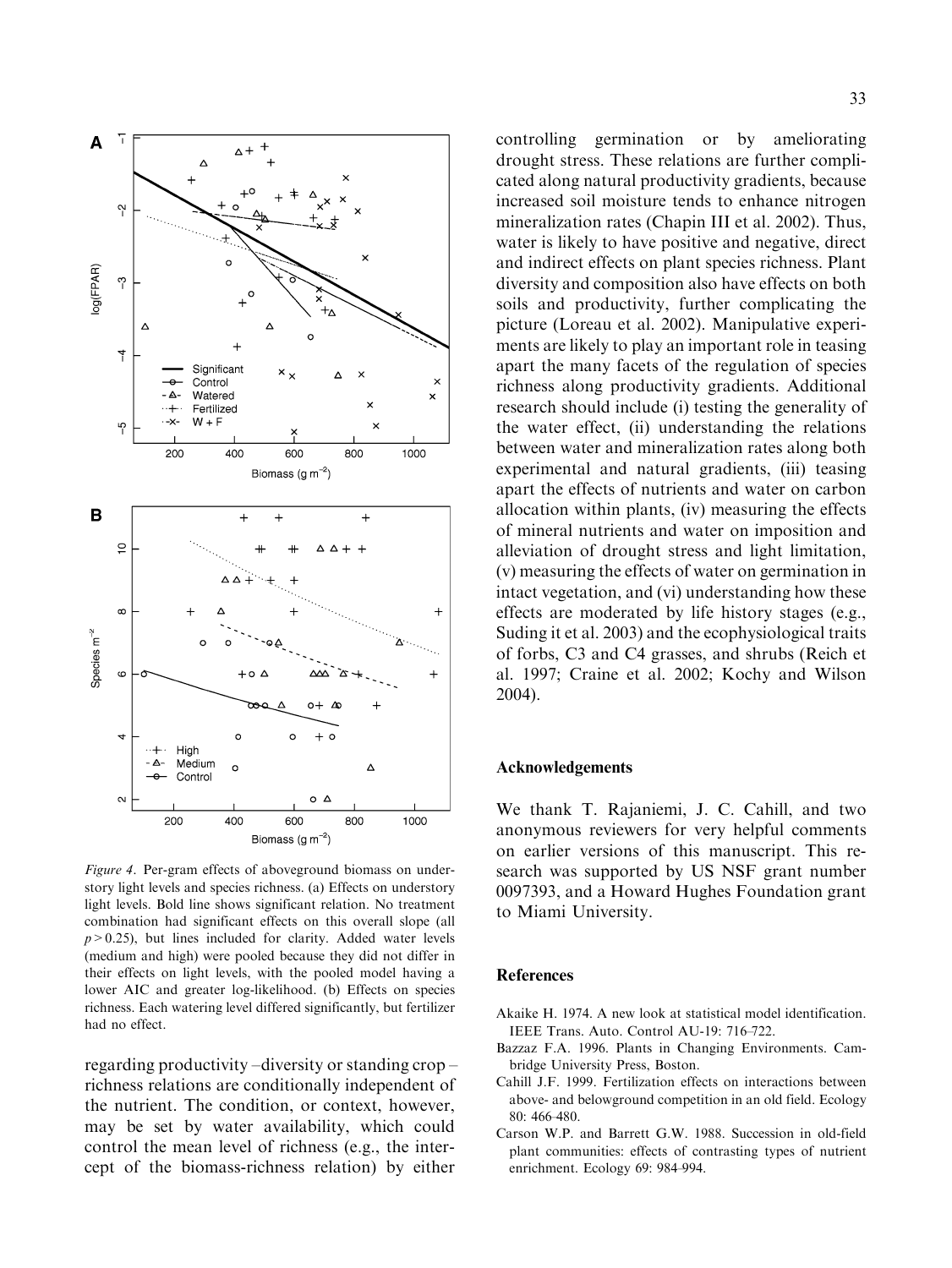

Figure 4. Per-gram effects of aboveground biomass on understory light levels and species richness. (a) Effects on understory light levels. Bold line shows significant relation. No treatment combination had significant effects on this overall slope (all  $p > 0.25$ ), but lines included for clarity. Added water levels (medium and high) were pooled because they did not differ in their effects on light levels, with the pooled model having a lower AIC and greater log-likelihood. (b) Effects on species richness. Each watering level differed significantly, but fertilizer had no effect.

regarding productivity –diversity or standing crop – richness relations are conditionally independent of the nutrient. The condition, or context, however, may be set by water availability, which could control the mean level of richness (e.g., the intercept of the biomass-richness relation) by either

controlling germination or by ameliorating drought stress. These relations are further complicated along natural productivity gradients, because increased soil moisture tends to enhance nitrogen mineralization rates (Chapin III et al. 2002). Thus, water is likely to have positive and negative, direct and indirect effects on plant species richness. Plant diversity and composition also have effects on both soils and productivity, further complicating the picture (Loreau et al. 2002). Manipulative experiments are likely to play an important role in teasing apart the many facets of the regulation of species richness along productivity gradients. Additional research should include (i) testing the generality of the water effect, (ii) understanding the relations between water and mineralization rates along both experimental and natural gradients, (iii) teasing apart the effects of nutrients and water on carbon allocation within plants, (iv) measuring the effects of mineral nutrients and water on imposition and alleviation of drought stress and light limitation, (v) measuring the effects of water on germination in intact vegetation, and (vi) understanding how these effects are moderated by life history stages (e.g., Suding it et al. 2003) and the ecophysiological traits of forbs, C3 and C4 grasses, and shrubs (Reich et al. 1997; Craine et al. 2002; Kochy and Wilson 2004).

## Acknowledgements

We thank T. Rajaniemi, J. C. Cahill, and two anonymous reviewers for very helpful comments on earlier versions of this manuscript. This research was supported by US NSF grant number 0097393, and a Howard Hughes Foundation grant to Miami University.

### References

- Akaike H. 1974. A new look at statistical model identification. IEEE Trans. Auto. Control AU-19: 716–722.
- Bazzaz F.A. 1996. Plants in Changing Environments. Cambridge University Press, Boston.
- Cahill J.F. 1999. Fertilization effects on interactions between above- and belowground competition in an old field. Ecology 80: 466–480.
- Carson W.P. and Barrett G.W. 1988. Succession in old-field plant communities: effects of contrasting types of nutrient enrichment. Ecology 69: 984–994.